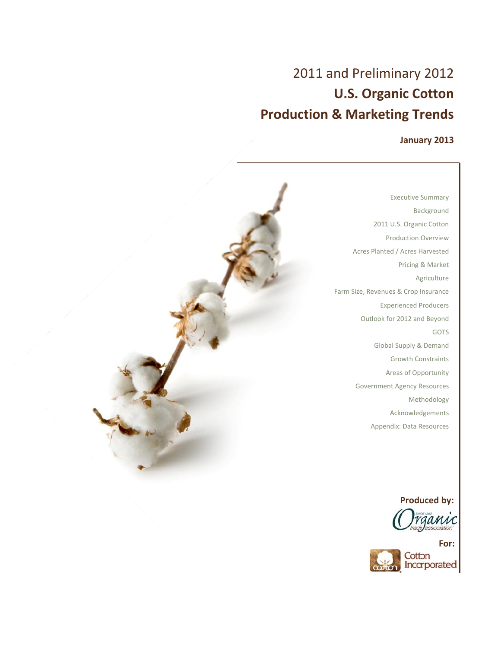# **Pro duction n & Mark keting Tr rends** 2011 and Preliminary 2012 **U.S. Organic Cotton**

## **Janua ary 2013**

2011 U.S. Organic Cotton Acres P Planted / Acres H Harvested Farm Size, Revenues & Crop Insurance Outlook for 2012 and Beyond Government Agency Resources Executive S Summary Ba ckground Production O Overview Pricing & Market **Agriculture** Experienced P Producers Global Supply & Demand Growth Constraints Areas of Op portunity Met hodology Acknowled dgements GOTS

**Produced** by:

A Appendix: Data R Resources



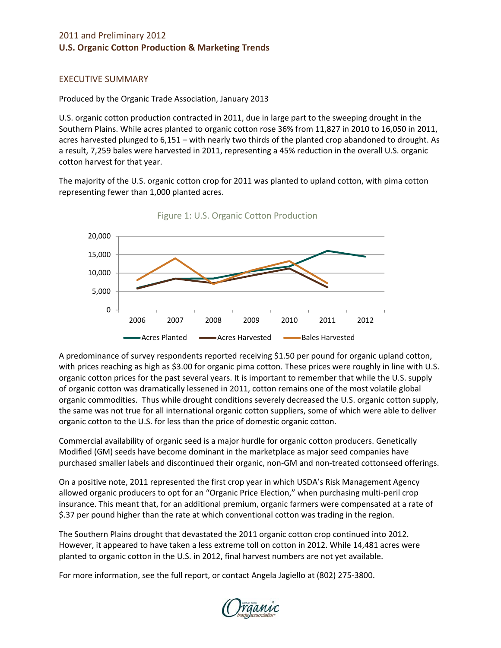## EXECUTIVE SUMMARY

Produced by the Organic Trade Association, January 2013

U.S. organic cotton production contracted in 2011, due in large part to the sweeping drought in the Southern Plains. While acres planted to organic cotton rose 36% from 11,827 in 2010 to 16,050 in 2011, acres harvested plunged to 6,151 – with nearly two thirds of the planted crop abandoned to drought. As a result, 7,259 bales were harvested in 2011, representing a 45% reduction in the overall U.S. organic cotton harvest for that year.

The majority of the U.S. organic cotton crop for 2011 was planted to upland cotton, with pima cotton representing fewer than 1,000 planted acres.



Figure 1: U.S. Organic Cotton Production

A predominance of survey respondents reported receiving \$1.50 per pound for organic upland cotton, with prices reaching as high as \$3.00 for organic pima cotton. These prices were roughly in line with U.S. organic cotton prices for the past several years. It is important to remember that while the U.S. supply of organic cotton was dramatically lessened in 2011, cotton remains one of the most volatile global organic commodities. Thus while drought conditions severely decreased the U.S. organic cotton supply, the same was not true for all international organic cotton suppliers, some of which were able to deliver organic cotton to the U.S. for less than the price of domestic organic cotton.

Commercial availability of organic seed is a major hurdle for organic cotton producers. Genetically Modified (GM) seeds have become dominant in the marketplace as major seed companies have purchased smaller labels and discontinued their organic, non-GM and non-treated cottonseed offerings.

On a positive note, 2011 represented the first crop year in which USDA's Risk Management Agency allowed organic producers to opt for an "Organic Price Election," when purchasing multi‐peril crop insurance. This meant that, for an additional premium, organic farmers were compensated at a rate of \$.37 per pound higher than the rate at which conventional cotton was trading in the region.

The Southern Plains drought that devastated the 2011 organic cotton crop continued into 2012. However, it appeared to have taken a less extreme toll on cotton in 2012. While 14,481 acres were planted to organic cotton in the U.S. in 2012, final harvest numbers are not yet available.

For more information, see the full report, or contact Angela Jagiello at (802) 275‐3800.

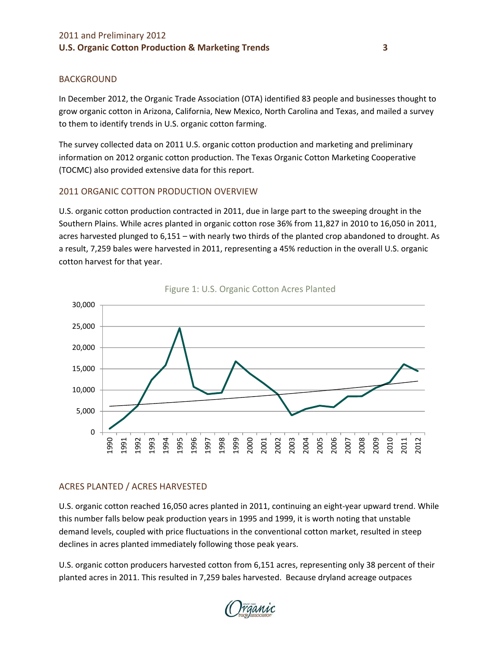## BACKGROUND

In December 2012, the Organic Trade Association (OTA) identified 83 people and businesses thought to grow organic cotton in Arizona, California, New Mexico, North Carolina and Texas, and mailed a survey to them to identify trends in U.S. organic cotton farming.

The survey collected data on 2011 U.S. organic cotton production and marketing and preliminary information on 2012 organic cotton production. The Texas Organic Cotton Marketing Cooperative (TOCMC) also provided extensive data for this report.

## 2011 ORGANIC COTTON PRODUCTION OVERVIEW

U.S. organic cotton production contracted in 2011, due in large part to the sweeping drought in the Southern Plains. While acres planted in organic cotton rose 36% from 11,827 in 2010 to 16,050 in 2011, acres harvested plunged to 6,151 – with nearly two thirds of the planted crop abandoned to drought. As a result, 7,259 bales were harvested in 2011, representing a 45% reduction in the overall U.S. organic cotton harvest for that year.





## ACRES PLANTED / ACRES HARVESTED

U.S. organic cotton reached 16,050 acres planted in 2011, continuing an eight‐year upward trend. While this number falls below peak production years in 1995 and 1999, it is worth noting that unstable demand levels, coupled with price fluctuations in the conventional cotton market, resulted in steep declines in acres planted immediately following those peak years.

U.S. organic cotton producers harvested cotton from 6,151 acres, representing only 38 percent of their planted acres in 2011. This resulted in 7,259 bales harvested. Because dryland acreage outpaces

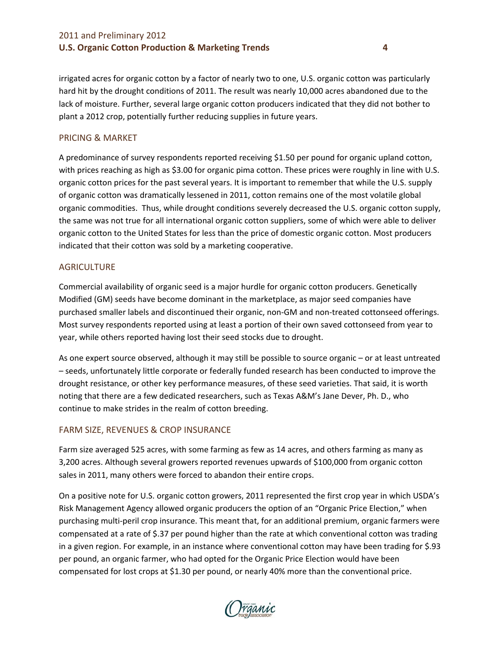irrigated acres for organic cotton by a factor of nearly two to one, U.S. organic cotton was particularly hard hit by the drought conditions of 2011. The result was nearly 10,000 acres abandoned due to the lack of moisture. Further, several large organic cotton producers indicated that they did not bother to plant a 2012 crop, potentially further reducing supplies in future years.

#### PRICING & MARKET

A predominance of survey respondents reported receiving \$1.50 per pound for organic upland cotton, with prices reaching as high as \$3.00 for organic pima cotton. These prices were roughly in line with U.S. organic cotton prices for the past several years. It is important to remember that while the U.S. supply of organic cotton was dramatically lessened in 2011, cotton remains one of the most volatile global organic commodities. Thus, while drought conditions severely decreased the U.S. organic cotton supply, the same was not true for all international organic cotton suppliers, some of which were able to deliver organic cotton to the United States for less than the price of domestic organic cotton. Most producers indicated that their cotton was sold by a marketing cooperative.

#### **AGRICULTURE**

Commercial availability of organic seed is a major hurdle for organic cotton producers. Genetically Modified (GM) seeds have become dominant in the marketplace, as major seed companies have purchased smaller labels and discontinued their organic, non-GM and non-treated cottonseed offerings. Most survey respondents reported using at least a portion of their own saved cottonseed from year to year, while others reported having lost their seed stocks due to drought.

As one expert source observed, although it may still be possible to source organic – or at least untreated – seeds, unfortunately little corporate or federally funded research has been conducted to improve the drought resistance, or other key performance measures, of these seed varieties. That said, it is worth noting that there are a few dedicated researchers, such as Texas A&M's Jane Dever, Ph. D., who continue to make strides in the realm of cotton breeding.

## FARM SIZE, REVENUES & CROP INSURANCE

Farm size averaged 525 acres, with some farming as few as 14 acres, and others farming as many as 3,200 acres. Although several growers reported revenues upwards of \$100,000 from organic cotton sales in 2011, many others were forced to abandon their entire crops.

On a positive note for U.S. organic cotton growers, 2011 represented the first crop year in which USDA's Risk Management Agency allowed organic producers the option of an "Organic Price Election," when purchasing multi‐peril crop insurance. This meant that, for an additional premium, organic farmers were compensated at a rate of \$.37 per pound higher than the rate at which conventional cotton was trading in a given region. For example, in an instance where conventional cotton may have been trading for \$.93 per pound, an organic farmer, who had opted for the Organic Price Election would have been compensated for lost crops at \$1.30 per pound, or nearly 40% more than the conventional price.

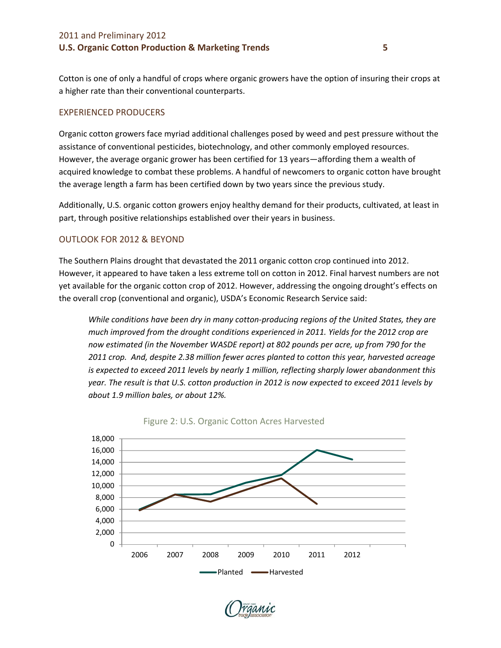Cotton is one of only a handful of crops where organic growers have the option of insuring their crops at a higher rate than their conventional counterparts.

## EXPERIENCED PRODUCERS

Organic cotton growers face myriad additional challenges posed by weed and pest pressure without the assistance of conventional pesticides, biotechnology, and other commonly employed resources. However, the average organic grower has been certified for 13 years—affording them a wealth of acquired knowledge to combat these problems. A handful of newcomers to organic cotton have brought the average length a farm has been certified down by two years since the previous study.

Additionally, U.S. organic cotton growers enjoy healthy demand for their products, cultivated, at least in part, through positive relationships established over their years in business.

## OUTLOOK FOR 2012 & BEYOND

The Southern Plains drought that devastated the 2011 organic cotton crop continued into 2012. However, it appeared to have taken a less extreme toll on cotton in 2012. Final harvest numbers are not yet available for the organic cotton crop of 2012. However, addressing the ongoing drought's effects on the overall crop (conventional and organic), USDA's Economic Research Service said:

*While conditions have been dry in many cotton‐producing regions of the United States, they are much improved from the drought conditions experienced in 2011. Yields for the 2012 crop are now estimated (in the November WASDE report) at 802 pounds per acre, up from 790 for the 2011 crop. And, despite 2.38 million fewer acres planted to cotton this year, harvested acreage is expected to exceed 2011 levels by nearly 1 million, reflecting sharply lower abandonment this year. The result is that U.S. cotton production in 2012 is now expected to exceed 2011 levels by about 1.9 million bales, or about 12%.* 





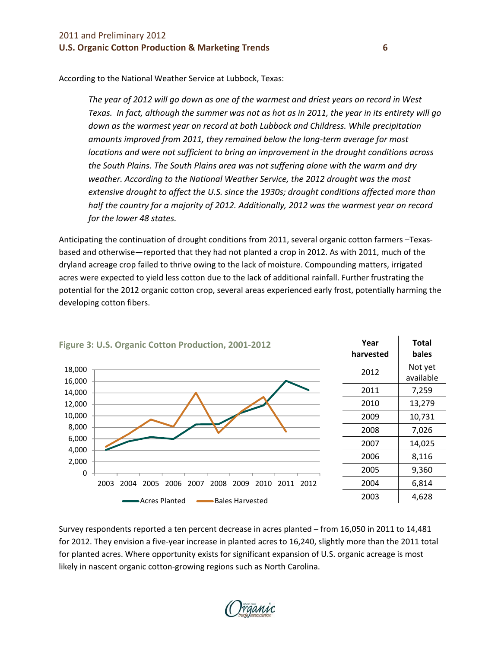According to the National Weather Service at Lubbock, Texas:

*The year of 2012 will go down as one of the warmest and driest years on record in West* Texas. In fact, although the summer was not as hot as in 2011, the year in its entirety will go *down as the warmest year on record at both Lubbock and Childress. While precipitation amounts improved from 2011, they remained below the long‐term average for most locations and were not sufficient to bring an improvement in the drought conditions across the South Plains. The South Plains area was not suffering alone with the warm and dry weather. According to the National Weather Service, the 2012 drought was the most extensive drought to affect the U.S. since the 1930s; drought conditions affected more than half the country for a majority of 2012. Additionally, 2012 was the warmest year on record for the lower 48 states.*

Anticipating the continuation of drought conditions from 2011, several organic cotton farmers –Texas‐ based and otherwise—reported that they had not planted a crop in 2012. As with 2011, much of the dryland acreage crop failed to thrive owing to the lack of moisture. Compounding matters, irrigated acres were expected to yield less cotton due to the lack of additional rainfall. Further frustrating the potential for the 2012 organic cotton crop, several areas experienced early frost, potentially harming the developing cotton fibers.



Survey respondents reported a ten percent decrease in acres planted – from 16,050 in 2011 to 14,481 for 2012. They envision a five-year increase in planted acres to 16,240, slightly more than the 2011 total for planted acres. Where opportunity exists for significant expansion of U.S. organic acreage is most likely in nascent organic cotton‐growing regions such as North Carolina.

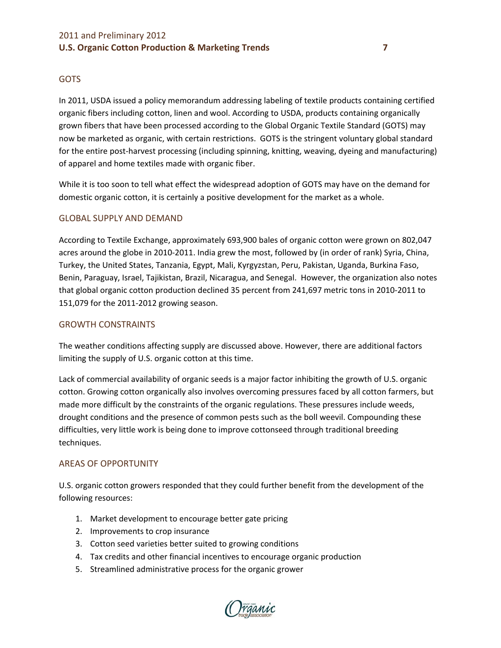## GOTS

In 2011, USDA issued a policy memorandum addressing labeling of textile products containing certified organic fibers including cotton, linen and wool. According to USDA, products containing organically grown fibers that have been processed according to the Global Organic Textile Standard (GOTS) may now be marketed as organic, with certain restrictions. GOTS is the stringent voluntary global standard for the entire post-harvest processing (including spinning, knitting, weaving, dyeing and manufacturing) of apparel and home textiles made with organic fiber.

While it is too soon to tell what effect the widespread adoption of GOTS may have on the demand for domestic organic cotton, it is certainly a positive development for the market as a whole.

## GLOBAL SUPPLY AND DEMAND

According to Textile Exchange, approximately 693,900 bales of organic cotton were grown on 802,047 acres around the globe in 2010‐2011. India grew the most, followed by (in order of rank) Syria, China, Turkey, the United States, Tanzania, Egypt, Mali, Kyrgyzstan, Peru, Pakistan, Uganda, Burkina Faso, Benin, Paraguay, Israel, Tajikistan, Brazil, Nicaragua, and Senegal. However, the organization also notes that global organic cotton production declined 35 percent from 241,697 metric tons in 2010‐2011 to 151,079 for the 2011‐2012 growing season.

#### GROWTH CONSTRAINTS

The weather conditions affecting supply are discussed above. However, there are additional factors limiting the supply of U.S. organic cotton at this time.

Lack of commercial availability of organic seeds is a major factor inhibiting the growth of U.S. organic cotton. Growing cotton organically also involves overcoming pressures faced by all cotton farmers, but made more difficult by the constraints of the organic regulations. These pressures include weeds, drought conditions and the presence of common pests such as the boll weevil. Compounding these difficulties, very little work is being done to improve cottonseed through traditional breeding techniques.

#### AREAS OF OPPORTUNITY

U.S. organic cotton growers responded that they could further benefit from the development of the following resources:

- 1. Market development to encourage better gate pricing
- 2. Improvements to crop insurance
- 3. Cotton seed varieties better suited to growing conditions
- 4. Tax credits and other financial incentives to encourage organic production
- 5. Streamlined administrative process for the organic grower

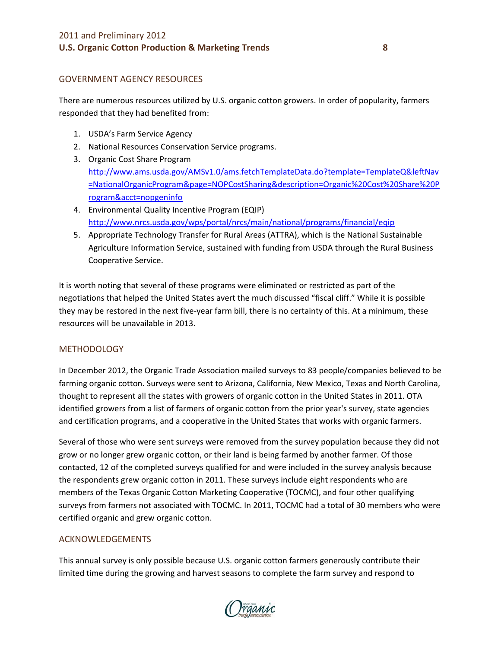## GOVERNMENT AGENCY RESOURCES

There are numerous resources utilized by U.S. organic cotton growers. In order of popularity, farmers responded that they had benefited from:

- 1. USDA's Farm Service Agency
- 2. National Resources Conservation Service programs.
- 3. Organic Cost Share Program http://www.ams.usda.gov/AMSv1.0/ams.fetchTemplateData.do?template=TemplateQ&leftNav =NationalOrganicProgram&page=NOPCostSharing&description=Organic%20Cost%20Share%20P rogram&acct=nopgeninfo
- 4. Environmental Quality Incentive Program (EQIP) http://www.nrcs.usda.gov/wps/portal/nrcs/main/national/programs/financial/eqip
- 5. Appropriate Technology Transfer for Rural Areas (ATTRA), which is the National Sustainable Agriculture Information Service, sustained with funding from USDA through the Rural Business Cooperative Service.

It is worth noting that several of these programs were eliminated or restricted as part of the negotiations that helped the United States avert the much discussed "fiscal cliff." While it is possible they may be restored in the next five-year farm bill, there is no certainty of this. At a minimum, these resources will be unavailable in 2013.

## METHODOLOGY

In December 2012, the Organic Trade Association mailed surveys to 83 people/companies believed to be farming organic cotton. Surveys were sent to Arizona, California, New Mexico, Texas and North Carolina, thought to represent all the states with growers of organic cotton in the United States in 2011. OTA identified growers from a list of farmers of organic cotton from the prior year's survey, state agencies and certification programs, and a cooperative in the United States that works with organic farmers.

Several of those who were sent surveys were removed from the survey population because they did not grow or no longer grew organic cotton, or their land is being farmed by another farmer. Of those contacted, 12 of the completed surveys qualified for and were included in the survey analysis because the respondents grew organic cotton in 2011. These surveys include eight respondents who are members of the Texas Organic Cotton Marketing Cooperative (TOCMC), and four other qualifying surveys from farmers not associated with TOCMC. In 2011, TOCMC had a total of 30 members who were certified organic and grew organic cotton.

#### ACKNOWLEDGEMENTS

This annual survey is only possible because U.S. organic cotton farmers generously contribute their limited time during the growing and harvest seasons to complete the farm survey and respond to

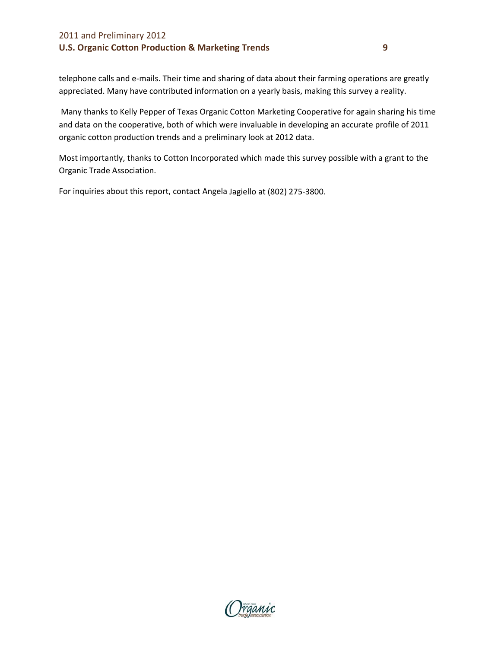telephone calls and e‐mails. Their time and sharing of data about their farming operations are greatly appreciated. Many have contributed information on a yearly basis, making this survey a reality.

Many thanks to Kelly Pepper of Texas Organic Cotton Marketing Cooperative for again sharing his time and data on the cooperative, both of which were invaluable in developing an accurate profile of 2011 organic cotton production trends and a preliminary look at 2012 data.

Most importantly, thanks to Cotton Incorporated which made this survey possible with a grant to the Organic Trade Association.

For inquiries about this report, contact Angela Jagiello at (802) 275‐3800.

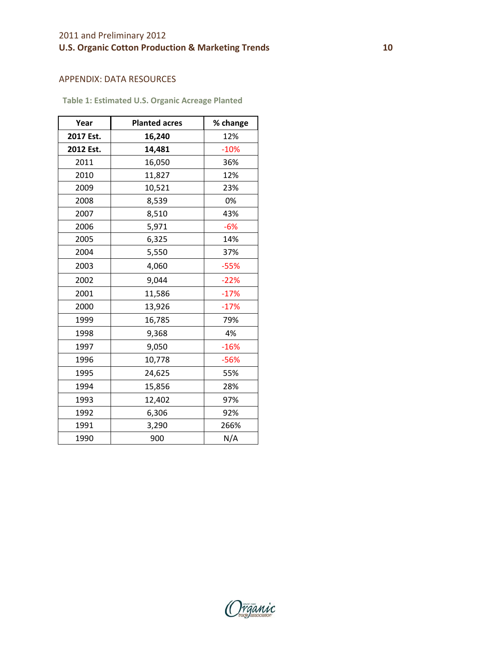## APPENDIX: DATA RESOURCES

**Table 1: Estimated U.S. Organic Acreage Planted**

| Year      | <b>Planted acres</b> | % change |
|-----------|----------------------|----------|
| 2017 Est. | 16,240               | 12%      |
| 2012 Est. | 14,481               | $-10%$   |
| 2011      | 16,050               | 36%      |
| 2010      | 11,827               | 12%      |
| 2009      | 10,521               | 23%      |
| 2008      | 8,539                | 0%       |
| 2007      | 8,510                | 43%      |
| 2006      | 5,971                | $-6%$    |
| 2005      | 6,325                | 14%      |
| 2004      | 5,550                | 37%      |
| 2003      | 4,060                | $-55%$   |
| 2002      | 9,044                | $-22%$   |
| 2001      | 11,586               | $-17%$   |
| 2000      | 13,926               | $-17%$   |
| 1999      | 16,785               | 79%      |
| 1998      | 9,368                | 4%       |
| 1997      | 9,050                | $-16%$   |
| 1996      | 10,778               | $-56%$   |
| 1995      | 24,625               | 55%      |
| 1994      | 15,856               | 28%      |
| 1993      | 12,402               | 97%      |
| 1992      | 6,306                | 92%      |
| 1991      | 3,290                | 266%     |
| 1990      | 900                  | N/A      |